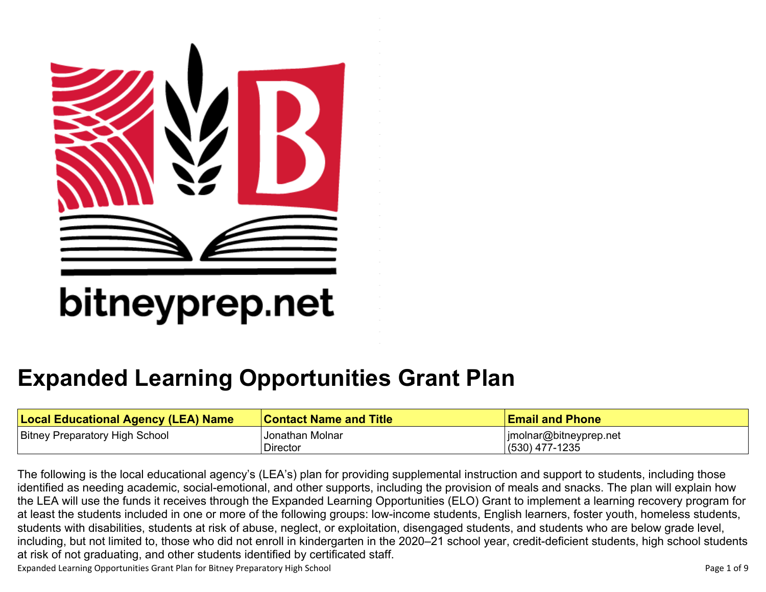

# bitneyprep.net

## **[Expanded Learning Opportunities Grant Plan](#page-5-0)**

| <b>Local Educational Agency (LEA) Name</b> | <b>Contact Name and Title</b> | <b>Email and Phone</b> |
|--------------------------------------------|-------------------------------|------------------------|
| <b>Bitney Preparatory High School</b>      | <b>Jonathan Molnar</b>        | jmolnar@bitneyprep.net |
|                                            | <b>Director</b>               | (530) 477-1235         |

The following is the local educational agency's (LEA's) plan for providing supplemental instruction and support to students, including those identified as needing academic, social-emotional, and other supports, including the provision of meals and snacks. The plan will explain how the LEA will use the funds it receives through the Expanded Learning Opportunities (ELO) Grant to implement a learning recovery program for at least the students included in one or more of the following groups: low-income students, English learners, foster youth, homeless students, students with disabilities, students at risk of abuse, neglect, or exploitation, disengaged students, and students who are below grade level, including, but not limited to, those who did not enroll in kindergarten in the 2020–21 school year, credit-deficient students, high school students at risk of not graduating, and other students identified by certificated staff.

Expanded Learning Opportunities Grant Plan for Bitney Preparatory High School Page 1 of 9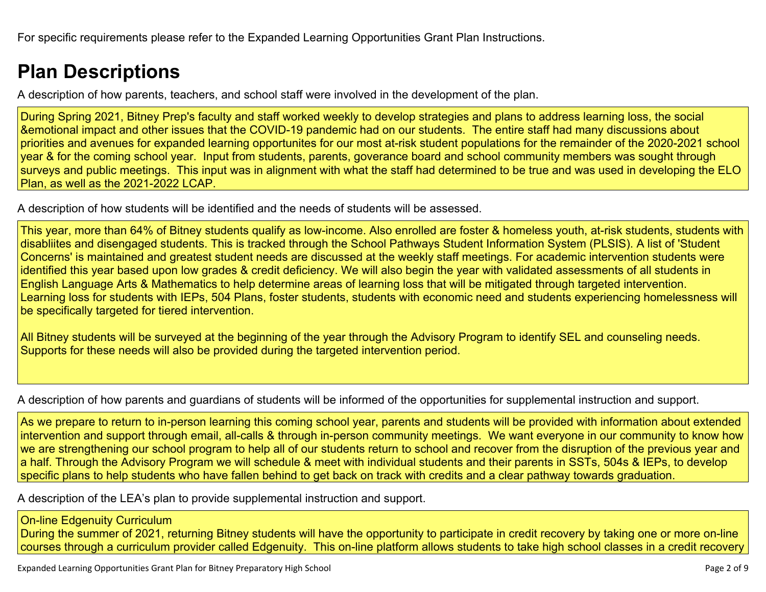### **[Plan Descriptions](#page-7-0)**

[A description of how parents, teachers, and school staff were involved in the development of the plan.](#page-7-1)

During Spring 2021, Bitney Prep's faculty and staff worked weekly to develop strategies and plans to address learning loss, the social &emotional impact and other issues that the COVID-19 pandemic had on our students. The entire staff had many discussions about priorities and avenues for expanded learning opportunites for our most at-risk student populations for the remainder of the 2020-2021 school year & for the coming school year. Input from students, parents, goverance board and school community members was sought through surveys and public meetings. This input was in alignment with what the staff had determined to be true and was used in developing the ELO Plan, as well as the 2021-2022 LCAP.

[A description of how students will be identified and the needs of students will be assessed.](#page-7-2)

This year, more than 64% of Bitney students qualify as low-income. Also enrolled are foster & homeless youth, at-risk students, students with disabliites and disengaged students. This is tracked through the School Pathways Student Information System (PLSIS). A list of 'Student Concerns' is maintained and greatest student needs are discussed at the weekly staff meetings. For academic intervention students were identified this year based upon low grades & credit deficiency. We will also begin the year with validated assessments of all students in English Language Arts & Mathematics to help determine areas of learning loss that will be mitigated through targeted intervention. Learning loss for students with IEPs, 504 Plans, foster students, students with economic need and students experiencing homelessness will be specifically targeted for tiered intervention.

All Bitney students will be surveyed at the beginning of the year through the Advisory Program to identify SEL and counseling needs. Supports for these needs will also be provided during the targeted intervention period.

[A description of how parents and guardians of students will be informed of the opportunities for supplemental instruction and support.](#page-7-3)

As we prepare to return to in-person learning this coming school year, parents and students will be provided with information about extended intervention and support through email, all-calls & through in-person community meetings. We want everyone in our community to know how we are strengthening our school program to help all of our students return to school and recover from the disruption of the previous year and a half. Through the Advisory Program we will schedule & meet with individual students and their parents in SSTs, 504s & IEPs, to develop specific plans to help students who have fallen behind to get back on track with credits and a clear pathway towards graduation.

[A description of the LEA's plan to provide supplemental instruction and support.](#page-7-4)

### On-line Edgenuity Curriculum

During the summer of 2021, returning Bitney students will have the opportunity to participate in credit recovery by taking one or more on-line courses through a curriculum provider called Edgenuity. This on-line platform allows students to take high school classes in a credit recovery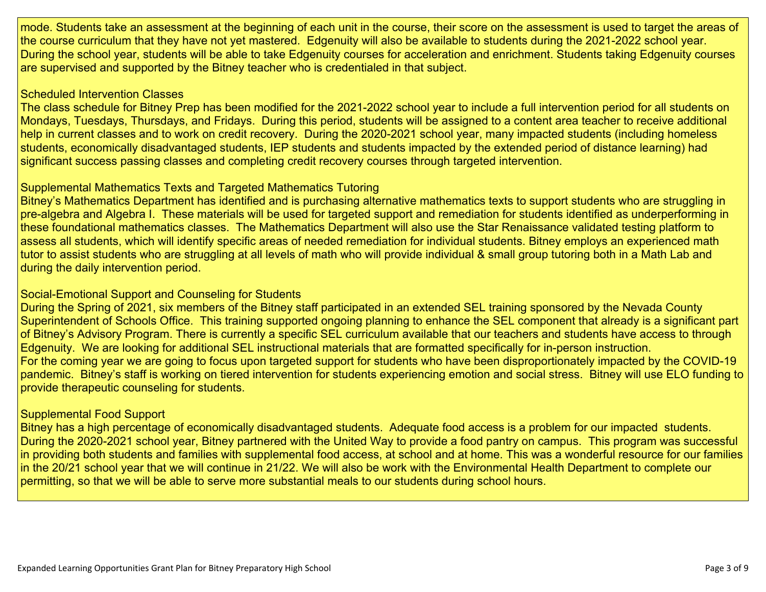mode. Students take an assessment at the beginning of each unit in the course, their score on the assessment is used to target the areas of the course curriculum that they have not yet mastered. Edgenuity will also be available to students during the 2021-2022 school year. During the school year, students will be able to take Edgenuity courses for acceleration and enrichment. Students taking Edgenuity courses are supervised and supported by the Bitney teacher who is credentialed in that subject.

#### Scheduled Intervention Classes

The class schedule for Bitney Prep has been modified for the 2021-2022 school year to include a full intervention period for all students on Mondays, Tuesdays, Thursdays, and Fridays. During this period, students will be assigned to a content area teacher to receive additional help in current classes and to work on credit recovery. During the 2020-2021 school year, many impacted students (including homeless students, economically disadvantaged students, IEP students and students impacted by the extended period of distance learning) had significant success passing classes and completing credit recovery courses through targeted intervention.

#### Supplemental Mathematics Texts and Targeted Mathematics Tutoring

Bitney's Mathematics Department has identified and is purchasing alternative mathematics texts to support students who are struggling in pre-algebra and Algebra I. These materials will be used for targeted support and remediation for students identified as underperforming in these foundational mathematics classes. The Mathematics Department will also use the Star Renaissance validated testing platform to assess all students, which will identify specific areas of needed remediation for individual students. Bitney employs an experienced math tutor to assist students who are struggling at all levels of math who will provide individual & small group tutoring both in a Math Lab and during the daily intervention period.

#### Social-Emotional Support and Counseling for Students

During the Spring of 2021, six members of the Bitney staff participated in an extended SEL training sponsored by the Nevada County Superintendent of Schools Office. This training supported ongoing planning to enhance the SEL component that already is a significant part of Bitney's Advisory Program. There is currently a specific SEL curriculum available that our teachers and students have access to through Edgenuity. We are looking for additional SEL instructional materials that are formatted specifically for in-person instruction. For the coming year we are going to focus upon targeted support for students who have been disproportionately impacted by the COVID-19 pandemic. Bitney's staff is working on tiered intervention for students experiencing emotion and social stress. Bitney will use ELO funding to provide therapeutic counseling for students.

### Supplemental Food Support

Bitney has a high percentage of economically disadvantaged students. Adequate food access is a problem for our impacted students. During the 2020-2021 school year, Bitney partnered with the United Way to provide a food pantry on campus. This program was successful in providing both students and families with supplemental food access, at school and at home. This was a wonderful resource for our families in the 20/21 school year that we will continue in 21/22. We will also be work with the Environmental Health Department to complete our permitting, so that we will be able to serve more substantial meals to our students during school hours.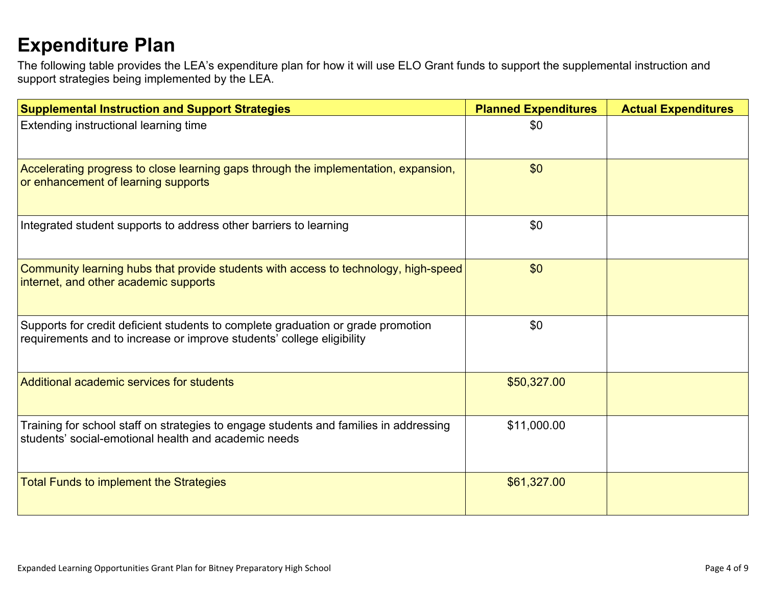### **[Expenditure Plan](#page-8-0)**

The following table provides the LEA's expenditure plan for how it will use ELO Grant funds to support the supplemental instruction and support strategies being implemented by the LEA.

| <b>Supplemental Instruction and Support Strategies</b>                                                                                                    | <b>Planned Expenditures</b> | <b>Actual Expenditures</b> |
|-----------------------------------------------------------------------------------------------------------------------------------------------------------|-----------------------------|----------------------------|
| Extending instructional learning time                                                                                                                     | \$0                         |                            |
| Accelerating progress to close learning gaps through the implementation, expansion,<br>or enhancement of learning supports                                | \$0                         |                            |
| Integrated student supports to address other barriers to learning                                                                                         | \$0                         |                            |
| Community learning hubs that provide students with access to technology, high-speed<br>internet, and other academic supports                              | \$0                         |                            |
| Supports for credit deficient students to complete graduation or grade promotion<br>requirements and to increase or improve students' college eligibility | \$0                         |                            |
| Additional academic services for students                                                                                                                 | \$50,327.00                 |                            |
| Training for school staff on strategies to engage students and families in addressing<br>students' social-emotional health and academic needs             | \$11,000.00                 |                            |
| <b>Total Funds to implement the Strategies</b>                                                                                                            | \$61,327.00                 |                            |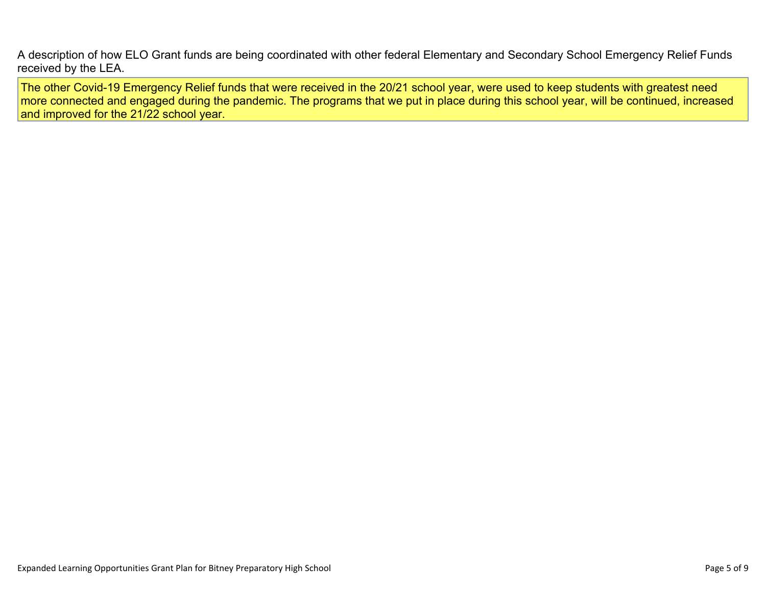[A description of how ELO Grant funds are being coordinated with other federal Elementary and Secondary School Emergency Relief Funds](#page-8-1)  [received by the LEA.](#page-8-1)

The other Covid-19 Emergency Relief funds that were received in the 20/21 school year, were used to keep students with greatest need more connected and engaged during the pandemic. The programs that we put in place during this school year, will be continued, increased and improved for the 21/22 school year.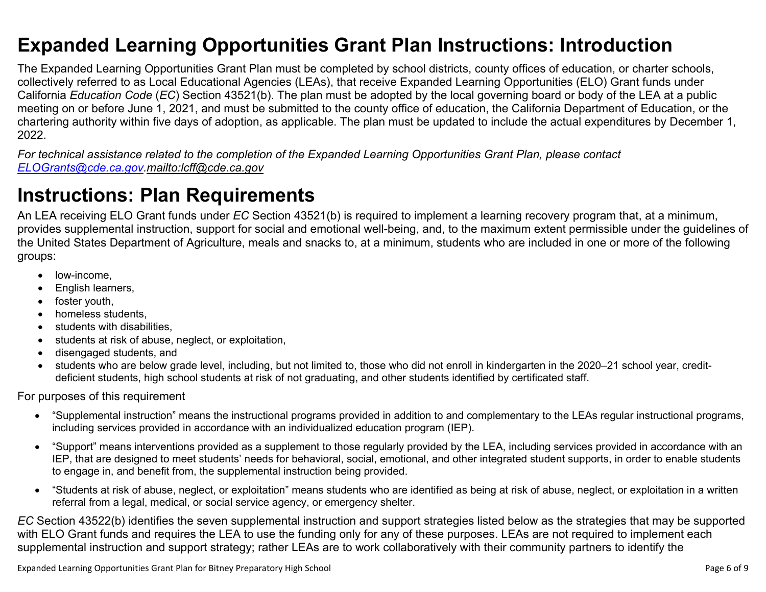### <span id="page-5-0"></span>**Expanded Learning Opportunities Grant Plan Instructions: Introduction**

The Expanded Learning Opportunities Grant Plan must be completed by school districts, county offices of education, or charter schools, collectively referred to as Local Educational Agencies (LEAs), that receive Expanded Learning Opportunities (ELO) Grant funds under California *Education Code* (*EC*) Section 43521(b). The plan must be adopted by the local governing board or body of the LEA at a public meeting on or before June 1, 2021, and must be submitted to the county office of education, the California Department of Education, or the chartering authority within five days of adoption, as applicable. The plan must be updated to include the actual expenditures by December 1, 2022.

*For technical assistance related to the completion of the Expanded Learning Opportunities Grant Plan, please contact [ELOGrants@cde.ca.gov](mailto:ELOGrants@cde.ca.gov).<mailto:lcff@cde.ca.gov>*

### **Instructions: Plan Requirements**

An LEA receiving ELO Grant funds under *EC* Section 43521(b) is required to implement a learning recovery program that, at a minimum, provides supplemental instruction, support for social and emotional well-being, and, to the maximum extent permissible under the guidelines of the United States Department of Agriculture, meals and snacks to, at a minimum, students who are included in one or more of the following groups:

- low-income.
- English learners,
- foster youth,
- homeless students.
- students with disabilities.
- students at risk of abuse, neglect, or exploitation,
- disengaged students, and
- students who are below grade level, including, but not limited to, those who did not enroll in kindergarten in the 2020–21 school year, creditdeficient students, high school students at risk of not graduating, and other students identified by certificated staff.

For purposes of this requirement

- "Supplemental instruction" means the instructional programs provided in addition to and complementary to the LEAs regular instructional programs, including services provided in accordance with an individualized education program (IEP).
- "Support" means interventions provided as a supplement to those regularly provided by the LEA, including services provided in accordance with an IEP, that are designed to meet students' needs for behavioral, social, emotional, and other integrated student supports, in order to enable students to engage in, and benefit from, the supplemental instruction being provided.
- "Students at risk of abuse, neglect, or exploitation" means students who are identified as being at risk of abuse, neglect, or exploitation in a written referral from a legal, medical, or social service agency, or emergency shelter.

*EC* Section 43522(b) identifies the seven supplemental instruction and support strategies listed below as the strategies that may be supported with ELO Grant funds and requires the LEA to use the funding only for any of these purposes. LEAs are not required to implement each supplemental instruction and support strategy; rather LEAs are to work collaboratively with their community partners to identify the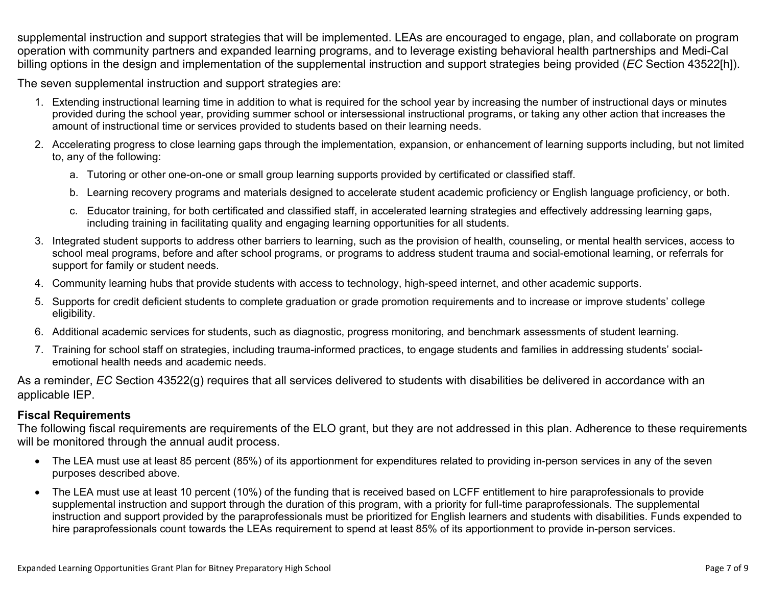supplemental instruction and support strategies that will be implemented. LEAs are encouraged to engage, plan, and collaborate on program operation with community partners and expanded learning programs, and to leverage existing behavioral health partnerships and Medi-Cal billing options in the design and implementation of the supplemental instruction and support strategies being provided (*EC* Section 43522[h]).

The seven supplemental instruction and support strategies are:

- 1. Extending instructional learning time in addition to what is required for the school year by increasing the number of instructional days or minutes provided during the school year, providing summer school or intersessional instructional programs, or taking any other action that increases the amount of instructional time or services provided to students based on their learning needs.
- 2. Accelerating progress to close learning gaps through the implementation, expansion, or enhancement of learning supports including, but not limited to, any of the following:
	- a. Tutoring or other one-on-one or small group learning supports provided by certificated or classified staff.
	- b. Learning recovery programs and materials designed to accelerate student academic proficiency or English language proficiency, or both.
	- c. Educator training, for both certificated and classified staff, in accelerated learning strategies and effectively addressing learning gaps, including training in facilitating quality and engaging learning opportunities for all students.
- 3. Integrated student supports to address other barriers to learning, such as the provision of health, counseling, or mental health services, access to school meal programs, before and after school programs, or programs to address student trauma and social-emotional learning, or referrals for support for family or student needs.
- 4. Community learning hubs that provide students with access to technology, high-speed internet, and other academic supports.
- 5. Supports for credit deficient students to complete graduation or grade promotion requirements and to increase or improve students' college eligibility.
- 6. Additional academic services for students, such as diagnostic, progress monitoring, and benchmark assessments of student learning.
- 7. Training for school staff on strategies, including trauma-informed practices, to engage students and families in addressing students' socialemotional health needs and academic needs.

As a reminder, *EC* Section 43522(g) requires that all services delivered to students with disabilities be delivered in accordance with an applicable IEP.

### **Fiscal Requirements**

The following fiscal requirements are requirements of the ELO grant, but they are not addressed in this plan. Adherence to these requirements will be monitored through the annual audit process.

- The LEA must use at least 85 percent (85%) of its apportionment for expenditures related to providing in-person services in any of the seven purposes described above.
- The LEA must use at least 10 percent (10%) of the funding that is received based on LCFF entitlement to hire paraprofessionals to provide supplemental instruction and support through the duration of this program, with a priority for full-time paraprofessionals. The supplemental instruction and support provided by the paraprofessionals must be prioritized for English learners and students with disabilities. Funds expended to hire paraprofessionals count towards the LEAs requirement to spend at least 85% of its apportionment to provide in-person services.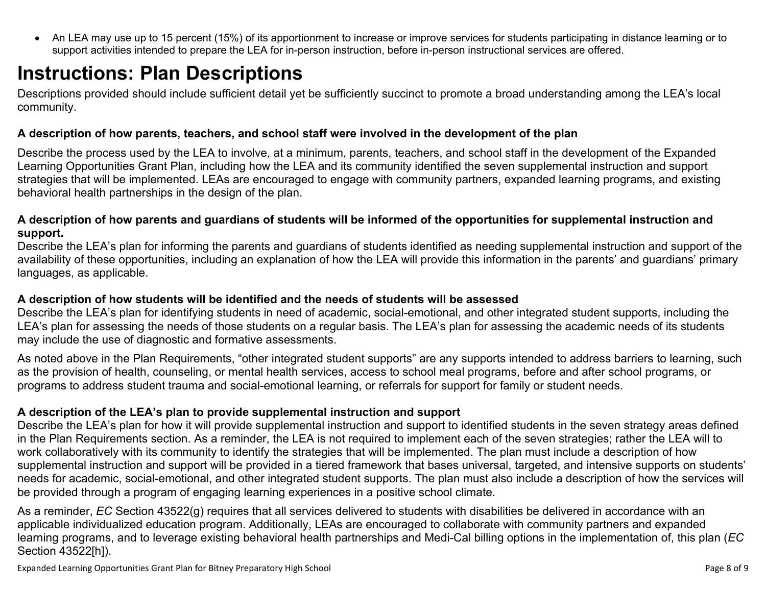<span id="page-7-0"></span>• An LEA may use up to 15 percent (15%) of its apportionment to increase or improve services for students participating in distance learning or to support activities intended to prepare the LEA for in-person instruction, before in-person instructional services are offered.

### **Instructions: Plan Descriptions**

Descriptions provided should include sufficient detail yet be sufficiently succinct to promote a broad understanding among the LEA's local community.

#### <span id="page-7-1"></span>**A description of how parents, teachers, and school staff were involved in the development of the plan**

Describe the process used by the LEA to involve, at a minimum, parents, teachers, and school staff in the development of the Expanded Learning Opportunities Grant Plan, including how the LEA and its community identified the seven supplemental instruction and support strategies that will be implemented. LEAs are encouraged to engage with community partners, expanded learning programs, and existing behavioral health partnerships in the design of the plan.

#### <span id="page-7-2"></span>**A description of how parents and guardians of students will be informed of the opportunities for supplemental instruction and support.**

Describe the LEA's plan for informing the parents and guardians of students identified as needing supplemental instruction and support of the availability of these opportunities, including an explanation of how the LEA will provide this information in the parents' and guardians' primary languages, as applicable.

### <span id="page-7-3"></span>**A description of how students will be identified and the needs of students will be assessed**

Describe the LEA's plan for identifying students in need of academic, social-emotional, and other integrated student supports, including the LEA's plan for assessing the needs of those students on a regular basis. The LEA's plan for assessing the academic needs of its students may include the use of diagnostic and formative assessments.

As noted above in the Plan Requirements, "other integrated student supports" are any supports intended to address barriers to learning, such as the provision of health, counseling, or mental health services, access to school meal programs, before and after school programs, or programs to address student trauma and social-emotional learning, or referrals for support for family or student needs.

### <span id="page-7-4"></span>**A description of the LEA's plan to provide supplemental instruction and support**

Describe the LEA's plan for how it will provide supplemental instruction and support to identified students in the seven strategy areas defined in the Plan Requirements section. As a reminder, the LEA is not required to implement each of the seven strategies; rather the LEA will to work collaboratively with its community to identify the strategies that will be implemented. The plan must include a description of how supplemental instruction and support will be provided in a tiered framework that bases universal, targeted, and intensive supports on students' needs for academic, social-emotional, and other integrated student supports. The plan must also include a description of how the services will be provided through a program of engaging learning experiences in a positive school climate.

As a reminder, *EC* Section 43522(g) requires that all services delivered to students with disabilities be delivered in accordance with an applicable individualized education program. Additionally, LEAs are encouraged to collaborate with community partners and expanded learning programs, and to leverage existing behavioral health partnerships and Medi-Cal billing options in the implementation of, this plan (*EC*  Section 43522[h]).